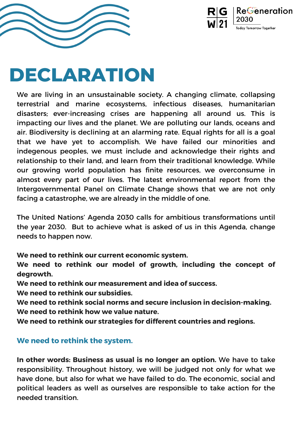We are living in an unsustainable society. A changing climate, collapsing terrestrial and marine ecosystems, infectious diseases, humanitarian disasters; ever-increasing crises are happening all around us. This is impacting our lives and the planet. We are polluting our lands, oceans and air. Biodiversity is declining at an alarming rate. Equal rights for all is a goal that we have yet to accomplish. We have failed our minorities and indegenous peoples, we must include and acknowledge their rights and relationship to their land, and learn from their traditional knowledge. While our growing world population has finite resources, we overconsume in almost every part of our lives. The latest environmental report from the Intergovernmental Panel on Climate Change shows that we are not only facing a catastrophe, we are already in the middle of one.

The United Nations' Agenda 2030 calls for ambitious transformations until the year 2030. But to achieve what is asked of us in this Agenda, change needs to happen now.

**We need to rethink our current economic system.**

**We need to rethink our model of growth, including the concept of degrowth.**

**We need to rethink our measurement and idea of success.**

**We need to rethink our subsidies.**

**We need to rethink social norms and secure inclusion in decision-making. We need to rethink how we value nature.**

**We need to rethink our strategies for different countries and regions.**

## **We need to rethink the system.**

**In other words: Business as usual is no longer an option.** We have to take responsibility. Throughout history, we will be judged not only for what we have done, but also for what we have failed to do. The economic, social and political leaders as well as ourselves are responsible to take action for the needed transition.





## **DECLARATION**